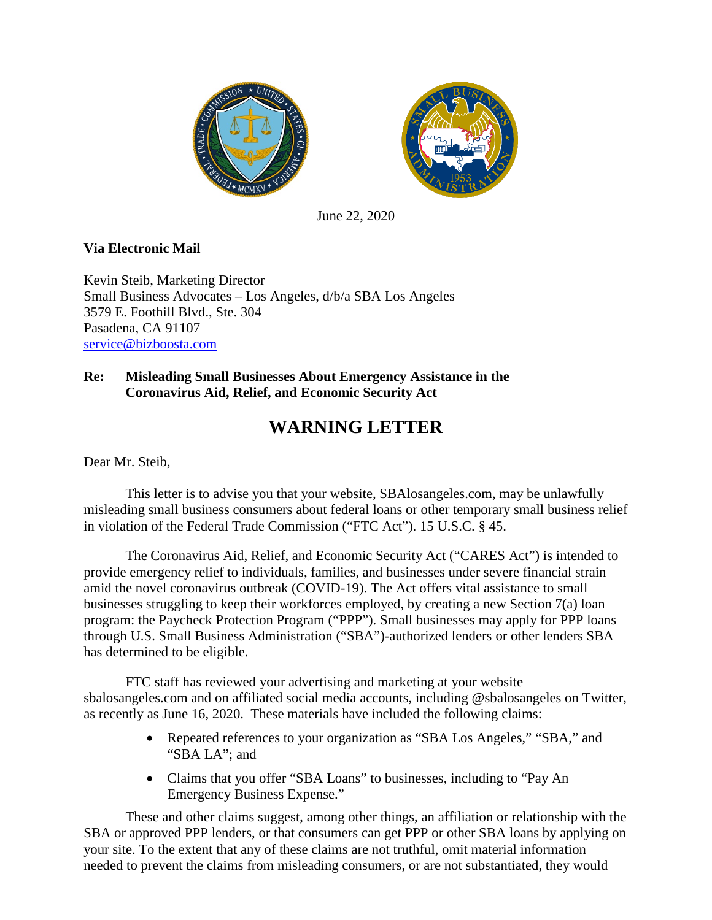



June 22, 2020

## **Via Electronic Mail**

Kevin Steib, Marketing Director Small Business Advocates – Los Angeles, d/b/a SBA Los Angeles 3579 E. Foothill Blvd., Ste. 304 Pasadena, CA 91107 [service@bizboosta.com](mailto:service@bizboosta.com)

## **Re: Misleading Small Businesses About Emergency Assistance in the Coronavirus Aid, Relief, and Economic Security Act**

## **WARNING LETTER**

Dear Mr. Steib,

This letter is to advise you that your website, SBAlosangeles.com, may be unlawfully misleading small business consumers about federal loans or other temporary small business relief in violation of the Federal Trade Commission ("FTC Act"). 15 U.S.C. § 45.

The Coronavirus Aid, Relief, and Economic Security Act ("CARES Act") is intended to provide emergency relief to individuals, families, and businesses under severe financial strain amid the novel coronavirus outbreak (COVID-19). The Act offers vital assistance to small businesses struggling to keep their workforces employed, by creating a new Section 7(a) loan program: the Paycheck Protection Program ("PPP"). Small businesses may apply for PPP loans through U.S. Small Business Administration ("SBA")-authorized lenders or other lenders SBA has determined to be eligible.

FTC staff has reviewed your advertising and marketing at your website sbalosangeles.com and on affiliated social media accounts, including @sbalosangeles on Twitter, as recently as June 16, 2020. These materials have included the following claims:

- Repeated references to your organization as "SBA Los Angeles," "SBA," and "SBA LA"; and
- Claims that you offer "SBA Loans" to businesses, including to "Pay An Emergency Business Expense."

These and other claims suggest, among other things, an affiliation or relationship with the SBA or approved PPP lenders, or that consumers can get PPP or other SBA loans by applying on your site. To the extent that any of these claims are not truthful, omit material information needed to prevent the claims from misleading consumers, or are not substantiated, they would